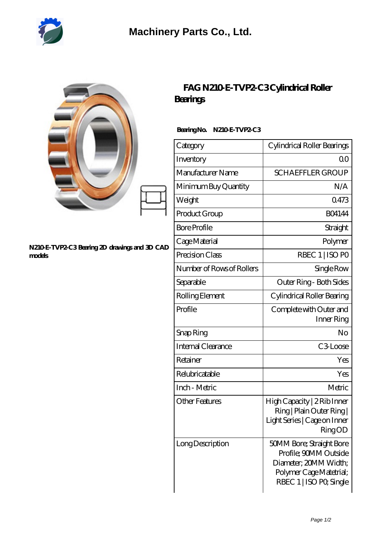

| N210 E-TVP2 C3 Bearing 2D drawings and 3D CAD<br>models | FAG N210 E-TVP2 C3Cylindrical Roller<br><b>Bearings</b> |                                                                                                                                  |
|---------------------------------------------------------|---------------------------------------------------------|----------------------------------------------------------------------------------------------------------------------------------|
|                                                         | BearingNo.<br><b>N210ETVP2C3</b>                        |                                                                                                                                  |
|                                                         | Category                                                | Cylindrical Roller Bearings                                                                                                      |
|                                                         | Inventory                                               | 0 <sup>0</sup>                                                                                                                   |
|                                                         | Manufacturer Name                                       | <b>SCHAEFFLER GROUP</b>                                                                                                          |
|                                                         | Minimum Buy Quantity                                    | N/A                                                                                                                              |
|                                                         | Weight                                                  | 0473                                                                                                                             |
|                                                         | Product Group                                           | <b>BO4144</b>                                                                                                                    |
|                                                         | <b>Bore Profile</b>                                     | Straight                                                                                                                         |
|                                                         | Cage Material                                           | Polymer                                                                                                                          |
|                                                         | Precision Class                                         | RBEC 1   ISO PO                                                                                                                  |
|                                                         | Number of Rows of Rollers                               | Single Row                                                                                                                       |
|                                                         | Separable                                               | Outer Ring - Both Sides                                                                                                          |
|                                                         | Rolling Element                                         | Cylindrical Roller Bearing                                                                                                       |
|                                                         | Profile                                                 | Complete with Outer and<br>Inner Ring                                                                                            |
|                                                         | Snap Ring                                               | No                                                                                                                               |
|                                                         | Internal Clearance                                      | C3Loose                                                                                                                          |
|                                                         | Retainer                                                | Yes                                                                                                                              |
|                                                         | Relubricatable                                          | Yes                                                                                                                              |
|                                                         | Inch - Metric                                           | Metric                                                                                                                           |
|                                                         | <b>Other Features</b>                                   | High Capacity   2 Rib Inner<br>Ring   Plain Outer Ring  <br>Light Series   Cage on Inner<br><b>RingOD</b>                        |
|                                                         | Long Description                                        | 50MM Bore; Straight Bore<br>Profile; 90MM Outside<br>Diameter; 20MM Width;<br>Polymer Cage Matetrial;<br>RBEC 1   ISO PO, Single |